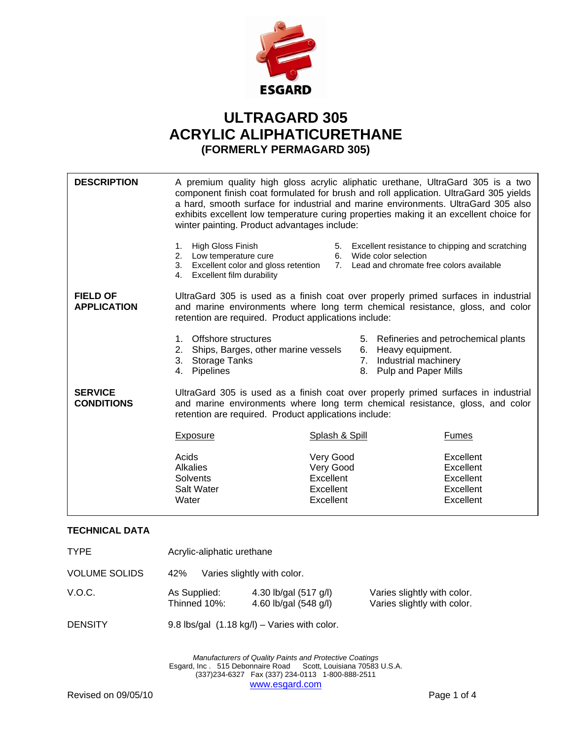

## **ULTRAGARD 305 ACRYLIC ALIPHATICURETHANE (FORMERLY PERMAGARD 305)**

| <b>DESCRIPTION</b>                    | A premium quality high gloss acrylic aliphatic urethane, UltraGard 305 is a two<br>component finish coat formulated for brush and roll application. UltraGard 305 yields<br>a hard, smooth surface for industrial and marine environments. UltraGard 305 also<br>exhibits excellent low temperature curing properties making it an excellent choice for<br>winter painting. Product advantages include: |                                                                                                                             |                                                               |
|---------------------------------------|---------------------------------------------------------------------------------------------------------------------------------------------------------------------------------------------------------------------------------------------------------------------------------------------------------------------------------------------------------------------------------------------------------|-----------------------------------------------------------------------------------------------------------------------------|---------------------------------------------------------------|
|                                       | High Gloss Finish<br>1.<br>2. Low temperature cure<br>3.<br>Excellent color and gloss retention<br>Excellent film durability<br>4.                                                                                                                                                                                                                                                                      | 5. Excellent resistance to chipping and scratching<br>6. Wide color selection<br>7. Lead and chromate free colors available |                                                               |
| <b>FIELD OF</b><br><b>APPLICATION</b> | UltraGard 305 is used as a finish coat over properly primed surfaces in industrial<br>and marine environments where long term chemical resistance, gloss, and color<br>retention are required. Product applications include:                                                                                                                                                                            |                                                                                                                             |                                                               |
|                                       | Offshore structures<br>$1_{-}$<br>Ships, Barges, other marine vessels<br>2.<br>3.<br><b>Storage Tanks</b><br>Pipelines<br>4.                                                                                                                                                                                                                                                                            | Heavy equipment.<br>6.<br>7. Industrial machinery<br>8. Pulp and Paper Mills                                                | 5. Refineries and petrochemical plants                        |
| <b>SERVICE</b><br><b>CONDITIONS</b>   | UltraGard 305 is used as a finish coat over properly primed surfaces in industrial<br>and marine environments where long term chemical resistance, gloss, and color<br>retention are required. Product applications include:                                                                                                                                                                            |                                                                                                                             |                                                               |
|                                       | <b>Exposure</b>                                                                                                                                                                                                                                                                                                                                                                                         | <b>Splash &amp; Spill</b>                                                                                                   | <b>Fumes</b>                                                  |
|                                       | Acids<br><b>Alkalies</b><br><b>Solvents</b><br>Salt Water<br>Water                                                                                                                                                                                                                                                                                                                                      | Very Good<br>Very Good<br>Excellent<br>Excellent<br>Excellent                                                               | Excellent<br>Excellent<br>Excellent<br>Excellent<br>Excellent |

## **TECHNICAL DATA**

| <b>TYPE</b>          | Acrylic-aliphatic urethane                   |                                                |                                                            |
|----------------------|----------------------------------------------|------------------------------------------------|------------------------------------------------------------|
| <b>VOLUME SOLIDS</b> | Varies slightly with color.<br>42%           |                                                |                                                            |
| V.O.C.               | As Supplied:<br>Thinned 10%:                 | 4.30 lb/gal (517 g/l)<br>4.60 lb/gal (548 g/l) | Varies slightly with color.<br>Varies slightly with color. |
| <b>DENSITY</b>       | 9.8 lbs/gal (1.18 kg/l) - Varies with color. |                                                |                                                            |

*Manufacturers of Quality Paints and Protective Coatings*  Esgard, Inc . 515 Debonnaire Road Scott, Louisiana 70583 U.S.A. (337)234-6327 Fax (337) 234-0113 1-800-888-2511 www.esgard.com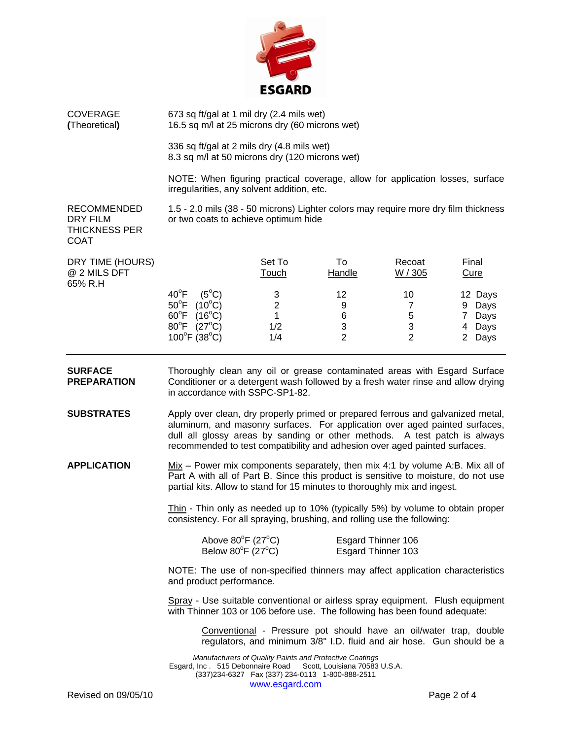

COVERAGE 673 sq ft/gal at 1 mil dry (2.4 mils wet) **(**Theoretical**)** 16.5 sq m/l at 25 microns dry (60 microns wet)

> 336 sq ft/gal at 2 mils dry (4.8 mils wet) 8.3 sq m/l at 50 microns dry (120 microns wet)

NOTE: When figuring practical coverage, allow for application losses, surface irregularities, any solvent addition, etc.

THICKNESS PER COAT

RECOMMENDED 1.5 - 2.0 mils (38 - 50 microns) Lighter colors may require more dry film thickness DRY FILM or two coats to achieve optimum hide

| DRY TIME (HOURS)<br>@ 2 MILS DFT<br>65% R.H |                                    | Set To<br>Touch | 10<br>Handle | Recoat<br>W / 305 | Final<br><u>Cure</u> |
|---------------------------------------------|------------------------------------|-----------------|--------------|-------------------|----------------------|
|                                             | $40^{\circ}$ F<br>(5 $^{\circ}$ C) | 3               | 12           | 10                | 12 Days              |
|                                             | $50^{\circ}$ F<br>$(10^{\circ}C)$  | 2               | 9            |                   | Days<br>9            |
|                                             | $60^{\circ}$ F<br>$(16^{\circ}C)$  |                 | 6            | 5                 | Days                 |
|                                             | $80^{\circ}$ F<br>$(27^{\circ}C)$  | 1/2             | 3            | 3                 | Days<br>4            |
|                                             | $100^{\circ}$ F (38°C)             | 1/4             | 2            |                   | Days<br>2            |

**SURFACE** Thoroughly clean any oil or grease contaminated areas with Esgard Surface **PREPARATION** Conditioner or a detergent wash followed by a fresh water rinse and allow drying in accordance with SSPC-SP1-82.

- **SUBSTRATES** Apply over clean, dry properly primed or prepared ferrous and galvanized metal, aluminum, and masonry surfaces. For application over aged painted surfaces, dull all glossy areas by sanding or other methods. A test patch is always recommended to test compatibility and adhesion over aged painted surfaces.
- **APPLICATION** Mix Power mix components separately, then mix 4:1 by volume A:B. Mix all of Part A with all of Part B. Since this product is sensitive to moisture, do not use partial kits. Allow to stand for 15 minutes to thoroughly mix and ingest.

Thin - Thin only as needed up to 10% (typically 5%) by volume to obtain proper consistency. For all spraying, brushing, and rolling use the following:

| Above $80^{\circ}$ F (27 $^{\circ}$ C) | Esgard Thinner 106 |
|----------------------------------------|--------------------|
| Below $80^{\circ}$ F (27 $^{\circ}$ C) | Esgard Thinner 103 |

NOTE: The use of non-specified thinners may affect application characteristics and product performance.

Spray - Use suitable conventional or airless spray equipment. Flush equipment with Thinner 103 or 106 before use. The following has been found adequate:

Conventional - Pressure pot should have an oil/water trap, double regulators, and minimum 3/8" I.D. fluid and air hose. Gun should be a

*Manufacturers of Quality Paints and Protective Coatings*  Esgard, Inc . 515 Debonnaire Road Scott, Louisiana 70583 U.S.A. (337)234-6327 Fax (337) 234-0113 1-800-888-2511 www.esgard.com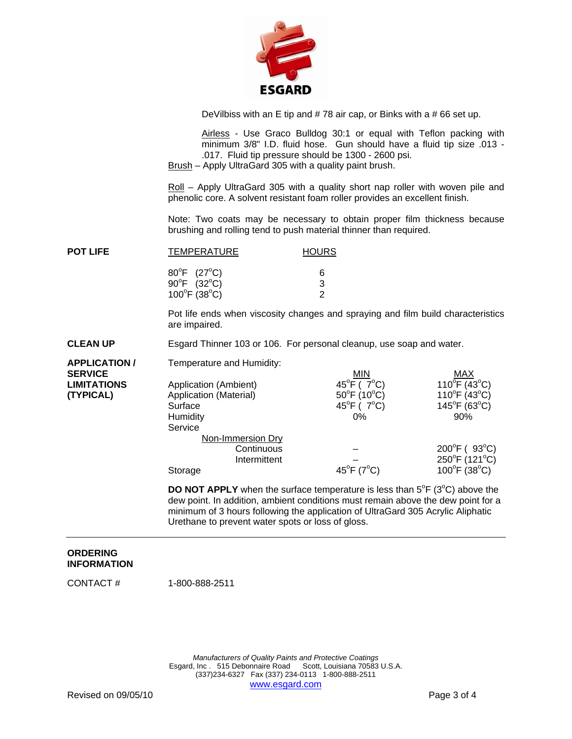

DeVilbiss with an E tip and # 78 air cap, or Binks with a # 66 set up.

Airless - Use Graco Bulldog 30:1 or equal with Teflon packing with minimum 3/8" I.D. fluid hose. Gun should have a fluid tip size .013 - .017. Fluid tip pressure should be 1300 - 2600 psi.

Brush – Apply UltraGard 305 with a quality paint brush.

Roll - Apply UltraGard 305 with a quality short nap roller with woven pile and phenolic core. A solvent resistant foam roller provides an excellent finish.

Note: Two coats may be necessary to obtain proper film thickness because brushing and rolling tend to push material thinner than required.

| <b>POT LIFE</b> | <b>TEMPERATURE</b>                | <b>HOURS</b> |  |
|-----------------|-----------------------------------|--------------|--|
|                 | $80^{\circ}$ F (27 $^{\circ}$ C)  | 6            |  |
|                 | $90^{\circ}F$ (32°C)              | 3            |  |
|                 | $100^{\circ}$ F (38 $^{\circ}$ C) | ົ            |  |

 Pot life ends when viscosity changes and spraying and film build characteristics are impaired.

**CLEAN UP** Esgard Thinner 103 or 106. For personal cleanup, use soap and water.

| <b>APPLICATION /</b> | Temperature and Humidity: |                                   |                                   |
|----------------------|---------------------------|-----------------------------------|-----------------------------------|
| <b>SERVICE</b>       |                           | <b>MIN</b>                        | MAX                               |
| <b>LIMITATIONS</b>   | Application (Ambient)     | 45 $^{\circ}$ F ( 7 $^{\circ}$ C) | $110^{\circ}$ F (43°C)            |
| (TYPICAL)            | Application (Material)    | $50^{\circ}$ F (10 $^{\circ}$ C)  | $110^{\circ}$ F (43 $^{\circ}$ C) |
|                      | Surface                   | 45 $^{\circ}$ F (7 $^{\circ}$ C)  | $145^{\circ}F(63^{\circ}C)$       |
|                      | Humidity                  | $0\%$                             | 90%                               |
|                      | Service                   |                                   |                                   |
|                      | Non-Immersion Dry         |                                   |                                   |
|                      | Continuous                |                                   | $200^{\circ}$ F (93 $^{\circ}$ C) |
|                      | Intermittent              |                                   | 250°F (121°C)                     |
|                      | Storage                   | $45^{\circ}$ F (7 $^{\circ}$ C)   | $100^{\circ}$ F (38 $^{\circ}$ C) |

**DO NOT APPLY** when the surface temperature is less than  $5^{\circ}F$  ( $3^{\circ}C$ ) above the dew point. In addition, ambient conditions must remain above the dew point for a minimum of 3 hours following the application of UltraGard 305 Acrylic Aliphatic Urethane to prevent water spots or loss of gloss.

## **ORDERING INFORMATION**

CONTACT # 1-800-888-2511

*Manufacturers of Quality Paints and Protective Coatings*  Esgard, Inc . 515 Debonnaire Road Scott, Louisiana 70583 U.S.A. (337)234-6327 Fax (337) 234-0113 1-800-888-2511 www.esgard.com